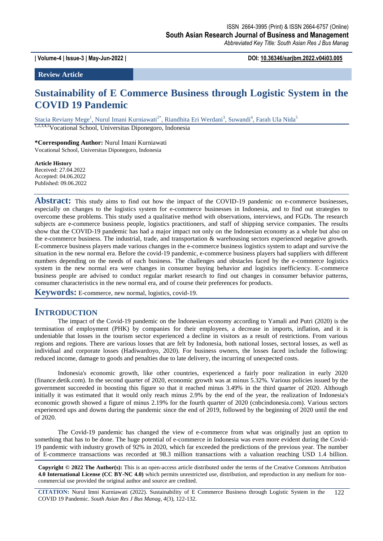**| Volume-4 | Issue-3 | May-Jun-2022 | DOI: 10.36346/sarjbm.2022.v04i03.005**

**Review Article**

# **Sustainability of E Commerce Business through Logistic System in the COVID 19 Pandemic**

Stacia Reviany Mege<sup>1</sup>, Nurul Imani Kurniawati<sup>2\*</sup>, Riandhita Eri Werdani<sup>3</sup>, Suwandi<sup>4</sup>, Farah Ula Nida<sup>5</sup>

1,2,3,4,5Vocational School, Universitas Diponegoro, Indonesia

**\*Corresponding Author:** Nurul Imani Kurniawati Vocational School, Universitas Diponegoro, Indonesia

**Article History** Received: 27.04.2022 Accepted: 04.06.2022 Published: 09.06.2022

Abstract: This study aims to find out how the impact of the COVID-19 pandemic on e-commerce businesses, especially on changes to the logistics system for e-commerce businesses in Indonesia, and to find out strategies to overcome these problems. This study used a qualitative method with observations, interviews, and FGDs. The research subjects are e-commerce business people, logistics practitioners, and staff of shipping service companies. The results show that the COVID-19 pandemic has had a major impact not only on the Indonesian economy as a whole but also on the e-commerce business. The industrial, trade, and transportation & warehousing sectors experienced negative growth. E-commerce business players made various changes in the e-commerce business logistics system to adapt and survive the situation in the new normal era. Before the covid-19 pandemic, e-commerce business players had suppliers with different numbers depending on the needs of each business. The challenges and obstacles faced by the e-commerce logistics system in the new normal era were changes in consumer buying behavior and logistics inefficiency. E-commerce business people are advised to conduct regular market research to find out changes in consumer behavior patterns, consumer characteristics in the new normal era, and of course their preferences for products.

**Keywords:** E-commerce, new normal, logistics, covid-19.

# **INTRODUCTION**

The impact of the Covid-19 pandemic on the Indonesian economy according to Yamali and Putri (2020) is the termination of employment (PHK) by companies for their employees, a decrease in imports, inflation, and it is undeniable that losses in the tourism sector experienced a decline in visitors as a result of restrictions. From various regions and regions. There are various losses that are felt by Indonesia, both national losses, sectoral losses, as well as individual and corporate losses (Hadiwardoyo, 2020). For business owners, the losses faced include the following: reduced income, damage to goods and penalties due to late delivery, the incurring of unexpected costs.

Indonesia's economic growth, like other countries, experienced a fairly poor realization in early 2020 (finance.detik.com). In the second quarter of 2020, economic growth was at minus 5.32%. Various policies issued by the government succeeded in boosting this figure so that it reached minus 3.49% in the third quarter of 2020. Although initially it was estimated that it would only reach minus 2.9% by the end of the year, the realization of Indonesia's economic growth showed a figure of minus 2.19% for the fourth quarter of 2020 (cnbcindonesia.com). Various sectors experienced ups and downs during the pandemic since the end of 2019, followed by the beginning of 2020 until the end of 2020.

The Covid-19 pandemic has changed the view of e-commerce from what was originally just an option to something that has to be done. The huge potential of e-commerce in Indonesia was even more evident during the Covid-19 pandemic with industry growth of 92% in 2020, which far exceeded the predictions of the previous year. The number of E-commerce transactions was recorded at 98.3 million transactions with a valuation reaching USD 1.4 billion.

**Copyright © 2022 The Author(s):** This is an open-access article distributed under the terms of the Creative Commons Attribution **4.0 International License (CC BY-NC 4.0)** which permits unrestricted use, distribution, and reproduction in any medium for noncommercial use provided the original author and source are credited.

**CITATION:** Nurul Imni Kurniawati (2022). Sustainability of E Commerce Business through Logistic System in the COVID 19 Pandemic. *South Asian Res J Bus Manag, 4*(3), 122-132. 122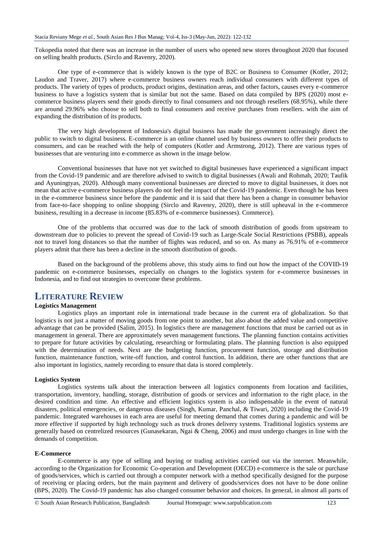Tokopedia noted that there was an increase in the number of users who opened new stores throughout 2020 that focused on selling health products. (Sirclo and Ravenry, 2020).

One type of e-commerce that is widely known is the type of B2C or Business to Consumer (Kotler, 2012; Laudon and Traver, 2017) where e-commerce business owners reach individual consumers with different types of products. The variety of types of products, product origins, destination areas, and other factors, causes every e-commerce business to have a logistics system that is similar but not the same. Based on data compiled by BPS (2020) most ecommerce business players send their goods directly to final consumers and not through resellers (68.95%), while there are around 29.96% who choose to sell both to final consumers and receive purchases from resellers. with the aim of expanding the distribution of its products.

The very high development of Indonesia's digital business has made the government increasingly direct the public to switch to digital business. E-commerce is an online channel used by business owners to offer their products to consumers, and can be reached with the help of computers (Kotler and Armstrong, 2012). There are various types of businesses that are venturing into e-commerce as shown in the image below.

Conventional businesses that have not yet switched to digital businesses have experienced a significant impact from the Covid-19 pandemic and are therefore advised to switch to digital businesses (Awali and Rohmah, 2020; Taufik and Ayuningtyas, 2020). Although many conventional businesses are directed to move to digital businesses, it does not mean that active e-commerce business players do not feel the impact of the Covid-19 pandemic. Even though he has been in the e-commerce business since before the pandemic and it is said that there has been a change in consumer behavior from face-to-face shopping to online shopping (Sirclo and Ravenry, 2020), there is still upheaval in the e-commerce business, resulting in a decrease in income (85.83% of e-commerce businesses). Commerce).

One of the problems that occurred was due to the lack of smooth distribution of goods from upstream to downstream due to policies to prevent the spread of Covid-19 such as Large-Scale Social Restrictions (PSBB), appeals not to travel long distances so that the number of flights was reduced, and so on. As many as 76.91% of e-commerce players admit that there has been a decline in the smooth distribution of goods.

Based on the background of the problems above, this study aims to find out how the impact of the COVID-19 pandemic on e-commerce businesses, especially on changes to the logistics system for e-commerce businesses in Indonesia, and to find out strategies to overcome these problems.

# **LITERATURE REVIEW**

### **Logistics Management**

Logistics plays an important role in international trade because in the current era of globalization. So that logistics is not just a matter of moving goods from one point to another, but also about the added value and competitive advantage that can be provided (Salim, 2015). In logistics there are management functions that must be carried out as in management in general. There are approximately seven management functions. The planning function contains activities to prepare for future activities by calculating, researching or formulating plans. The planning function is also equipped with the determination of needs. Next are the budgeting function, procurement function, storage and distribution function, maintenance function, write-off function, and control function. In addition, there are other functions that are also important in logistics, namely recording to ensure that data is stored completely.

#### **Logistics System**

Logistics systems talk about the interaction between all logistics components from location and facilities, transportation, inventory, handling, storage, distribution of goods or services and information to the right place, in the desired condition and time. An effective and efficient logistics system is also indispensable in the event of natural disasters, political emergencies, or dangerous diseases (Singh, Kumar, Panchal, & Tiwari, 2020) including the Covid-19 pandemic. Integrated warehouses in each area are useful for meeting demand that comes during a pandemic and will be more effective if supported by high technology such as truck drones delivery systems. Traditional logistics systems are generally based on centrelized resources (Gunasekaran, Ngai & Cheng, 2006) and must undergo changes in line with the demands of competition.

#### **E-Commerce**

E-commerce is any type of selling and buying or trading activities carried out via the internet. Meanwhile, according to the Organization for Economic Co-operation and Development (OECD) e-commerce is the sale or purchase of goods/services, which is carried out through a computer network with a method specifically designed for the purpose of receiving or placing orders, but the main payment and delivery of goods/services does not have to be done online (BPS, 2020). The Covid-19 pandemic has also changed consumer behavior and choices. In general, in almost all parts of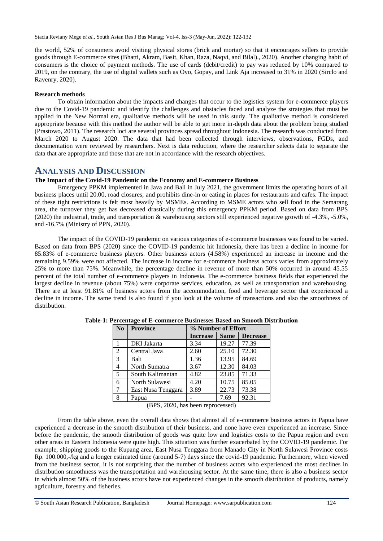the world, 52% of consumers avoid visiting physical stores (brick and mortar) so that it encourages sellers to provide goods through E-commerce sites (Bhatti, Akram, Basit, Khan, Raza, Naqvi, and Bilal)., 2020). Another changing habit of consumers is the choice of payment methods. The use of cards (debit/credit) to pay was reduced by 10% compared to 2019, on the contrary, the use of digital wallets such as Ovo, Gopay, and Link Aja increased to 31% in 2020 (Sirclo and Ravenry, 2020).

#### **Research methods**

To obtain information about the impacts and changes that occur to the logistics system for e-commerce players due to the Covid-19 pandemic and identify the challenges and obstacles faced and analyze the strategies that must be applied in the New Normal era, qualitative methods will be used in this study. The qualitative method is considered appropriate because with this method the author will be able to get more in-depth data about the problem being studied (Prastowo, 2011). The research loci are several provinces spread throughout Indonesia. The research was conducted from March 2020 to August 2020. The data that had been collected through interviews, observations, FGDs, and documentation were reviewed by researchers. Next is data reduction, where the researcher selects data to separate the data that are appropriate and those that are not in accordance with the research objectives.

### **ANALYSIS AND DISCUSSION**

### **The Impact of the Covid-19 Pandemic on the Economy and E-commerce Business**

Emergency PPKM implemented in Java and Bali in July 2021, the government limits the operating hours of all business places until 20.00, road closures, and prohibits dine-in or eating in places for restaurants and cafes. The impact of these tight restrictions is felt most heavily by MSMEs. According to MSME actors who sell food in the Semarang area, the turnover they get has decreased drastically during this emergency PPKM period. Based on data from BPS (2020) the industrial, trade, and transportation & warehousing sectors still experienced negative growth of -4.3%, -5.0%, and -16.7% (Ministry of PPN, 2020).

The impact of the COVID-19 pandemic on various categories of e-commerce businesses was found to be varied. Based on data from BPS (2020) since the COVID-19 pandemic hit Indonesia, there has been a decline in income for 85.83% of e-commerce business players. Other business actors (4.58%) experienced an increase in income and the remaining 9.59% were not affected. The increase in income for e-commerce business actors varies from approximately 25% to more than 75%. Meanwhile, the percentage decline in revenue of more than 50% occurred in around 45.55 percent of the total number of e-commerce players in Indonesia. The e-commerce business fields that experienced the largest decline in revenue (about 75%) were corporate services, education, as well as transportation and warehousing. There are at least 91.81% of business actors from the accommodation, food and beverage sector that experienced a decline in income. The same trend is also found if you look at the volume of transactions and also the smoothness of distribution.

| No             | <b>Province</b>    | % Number of Effort |             |                 |
|----------------|--------------------|--------------------|-------------|-----------------|
|                |                    | <b>Increase</b>    | <b>Same</b> | <b>Decrease</b> |
|                | DKI Jakarta        | 3.34               | 19.27       | 77.39           |
| $\overline{2}$ | Central Java       | 2.60               | 25.10       | 72.30           |
| 3              | Bali               | 1.36               | 13.95       | 84.69           |
| 4              | North Sumatra      | 3.67               | 12.30       | 84.03           |
| 5              | South Kalimantan   | 4.82               | 23.85       | 71.33           |
| 6              | North Sulawesi     | 4.20               | 10.75       | 85.05           |
| 7              | East Nusa Tenggara | 3.89               | 22.73       | 73.38           |
| 8              | Papua              |                    | 7.69        | 92.31           |

**Table-1: Percentage of E-commerce Businesses Based on Smooth Distribution**

(BPS, 2020, has been reprocessed)

From the table above, even the overall data shows that almost all of e-commerce business actors in Papua have experienced a decrease in the smooth distribution of their business, and none have even experienced an increase. Since before the pandemic, the smooth distribution of goods was quite low and logistics costs to the Papua region and even other areas in Eastern Indonesia were quite high. This situation was further exacerbated by the COVID-19 pandemic. For example, shipping goods to the Kupang area, East Nusa Tenggara from Manado City in North Sulawesi Province costs Rp. 100.000,-/kg and a longer estimated time (around 5-7) days since the covid-19 pandemic. Furthermore, when viewed from the business sector, it is not surprising that the number of business actors who experienced the most declines in distribution smoothness was the transportation and warehousing sector. At the same time, there is also a business sector in which almost 50% of the business actors have not experienced changes in the smooth distribution of products, namely agriculture, forestry and fisheries.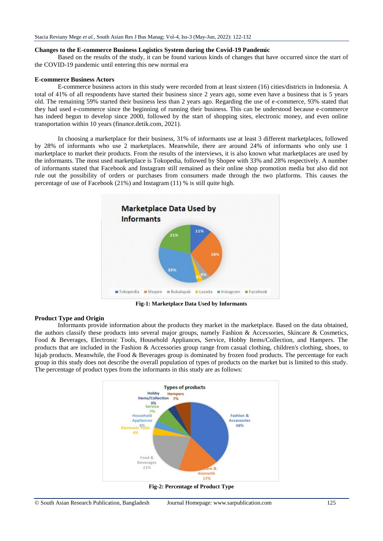#### **Changes to the E-commerce Business Logistics System during the Covid-19 Pandemic**

Based on the results of the study, it can be found various kinds of changes that have occurred since the start of the COVID-19 pandemic until entering this new normal era

#### **E-commerce Business Actors**

E-commerce business actors in this study were recorded from at least sixteen (16) cities/districts in Indonesia. A total of 41% of all respondents have started their business since 2 years ago, some even have a business that is 5 years old. The remaining 59% started their business less than 2 years ago. Regarding the use of e-commerce, 93% stated that they had used e-commerce since the beginning of running their business. This can be understood because e-commerce has indeed begun to develop since 2000, followed by the start of shopping sites, electronic money, and even online transportation within 10 years (finance.detik.com, 2021).

In choosing a marketplace for their business, 31% of informants use at least 3 different marketplaces, followed by 28% of informants who use 2 marketplaces. Meanwhile, there are around 24% of informants who only use 1 marketplace to market their products. From the results of the interviews, it is also known what marketplaces are used by the informants. The most used marketplace is Tokopedia, followed by Shopee with 33% and 28% respectively. A number of informants stated that Facebook and Instagram still remained as their online shop promotion media but also did not rule out the possibility of orders or purchases from consumers made through the two platforms. This causes the percentage of use of Facebook (21%) and Instagram (11) % is still quite high.



**Fig-1: Marketplace Data Used by Informants**

#### **Product Type and Origin**

Informants provide information about the products they market in the marketplace. Based on the data obtained, the authors classify these products into several major groups, namely Fashion & Accessories, Skincare & Cosmetics, Food & Beverages, Electronic Tools, Household Appliances, Service, Hobby Items/Collection, and Hampers. The products that are included in the Fashion & Accessories group range from casual clothing, children's clothing, shoes, to hijab products. Meanwhile, the Food & Beverages group is dominated by frozen food products. The percentage for each group in this study does not describe the overall population of types of products on the market but is limited to this study. The percentage of product types from the informants in this study are as follows:



**Fig-2: Percentage of Product Type**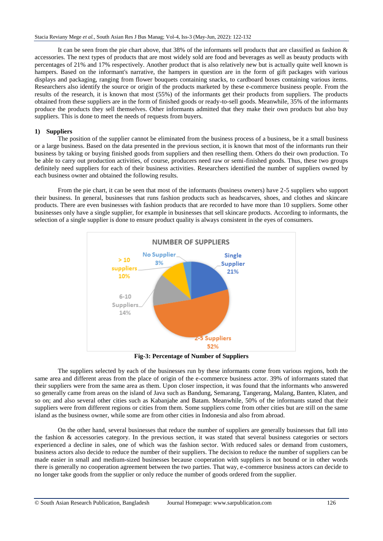It can be seen from the pie chart above, that 38% of the informants sell products that are classified as fashion & accessories. The next types of products that are most widely sold are food and beverages as well as beauty products with percentages of 21% and 17% respectively. Another product that is also relatively new but is actually quite well known is hampers. Based on the informant's narrative, the hampers in question are in the form of gift packages with various displays and packaging, ranging from flower bouquets containing snacks, to cardboard boxes containing various items. Researchers also identify the source or origin of the products marketed by these e-commerce business people. From the results of the research, it is known that most (55%) of the informants get their products from suppliers. The products obtained from these suppliers are in the form of finished goods or ready-to-sell goods. Meanwhile, 35% of the informants produce the products they sell themselves. Other informants admitted that they make their own products but also buy suppliers. This is done to meet the needs of requests from buyers.

#### **1) Suppliers**

The position of the supplier cannot be eliminated from the business process of a business, be it a small business or a large business. Based on the data presented in the previous section, it is known that most of the informants run their business by taking or buying finished goods from suppliers and then reselling them. Others do their own production. To be able to carry out production activities, of course, producers need raw or semi-finished goods. Thus, these two groups definitely need suppliers for each of their business activities. Researchers identified the number of suppliers owned by each business owner and obtained the following results.

From the pie chart, it can be seen that most of the informants (business owners) have 2-5 suppliers who support their business. In general, businesses that runs fashion products such as headscarves, shoes, and clothes and skincare products. There are even businesses with fashion products that are recorded to have more than 10 suppliers. Some other businesses only have a single supplier, for example in businesses that sell skincare products. According to informants, the selection of a single supplier is done to ensure product quality is always consistent in the eyes of consumers.



**Fig-3: Percentage of Number of Suppliers**

The suppliers selected by each of the businesses run by these informants come from various regions, both the same area and different areas from the place of origin of the e-commerce business actor. 39% of informants stated that their suppliers were from the same area as them. Upon closer inspection, it was found that the informants who answered so generally came from areas on the island of Java such as Bandung, Semarang, Tangerang, Malang, Banten, Klaten, and so on; and also several other cities such as Kabanjahe and Batam. Meanwhile, 50% of the informants stated that their suppliers were from different regions or cities from them. Some suppliers come from other cities but are still on the same island as the business owner, while some are from other cities in Indonesia and also from abroad.

On the other hand, several businesses that reduce the number of suppliers are generally businesses that fall into the fashion & accessories category. In the previous section, it was stated that several business categories or sectors experienced a decline in sales, one of which was the fashion sector. With reduced sales or demand from customers, business actors also decide to reduce the number of their suppliers. The decision to reduce the number of suppliers can be made easier in small and medium-sized businesses because cooperation with suppliers is not bound or in other words there is generally no cooperation agreement between the two parties. That way, e-commerce business actors can decide to no longer take goods from the supplier or only reduce the number of goods ordered from the supplier.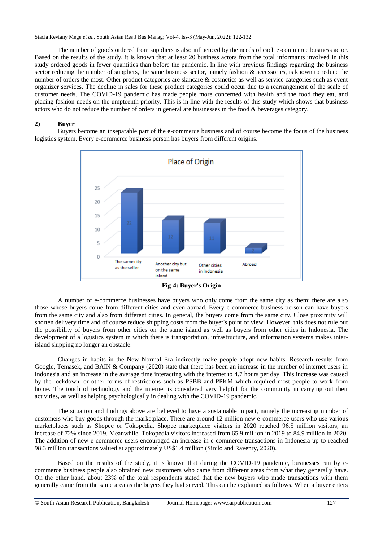The number of goods ordered from suppliers is also influenced by the needs of each e-commerce business actor. Based on the results of the study, it is known that at least 20 business actors from the total informants involved in this study ordered goods in fewer quantities than before the pandemic. In line with previous findings regarding the business sector reducing the number of suppliers, the same business sector, namely fashion & accessories, is known to reduce the number of orders the most. Other product categories are skincare & cosmetics as well as service categories such as event organizer services. The decline in sales for these product categories could occur due to a rearrangement of the scale of customer needs. The COVID-19 pandemic has made people more concerned with health and the food they eat, and placing fashion needs on the umpteenth priority. This is in line with the results of this study which shows that business actors who do not reduce the number of orders in general are businesses in the food & beverages category.

#### **2) Buyer**

Buyers become an inseparable part of the e-commerce business and of course become the focus of the business logistics system. Every e-commerce business person has buyers from different origins.



**Fig-4: Buyer's Origin**

A number of e-commerce businesses have buyers who only come from the same city as them; there are also those whose buyers come from different cities and even abroad. Every e-commerce business person can have buyers from the same city and also from different cities. In general, the buyers come from the same city. Close proximity will shorten delivery time and of course reduce shipping costs from the buyer's point of view. However, this does not rule out the possibility of buyers from other cities on the same island as well as buyers from other cities in Indonesia. The development of a logistics system in which there is transportation, infrastructure, and information systems makes interisland shipping no longer an obstacle.

Changes in habits in the New Normal Era indirectly make people adopt new habits. Research results from Google, Temasek, and BAIN & Company (2020) state that there has been an increase in the number of internet users in Indonesia and an increase in the average time interacting with the internet to 4.7 hours per day. This increase was caused by the lockdown, or other forms of restrictions such as PSBB and PPKM which required most people to work from home. The touch of technology and the internet is considered very helpful for the community in carrying out their activities, as well as helping psychologically in dealing with the COVID-19 pandemic.

The situation and findings above are believed to have a sustainable impact, namely the increasing number of customers who buy goods through the marketplace. There are around 12 million new e-commerce users who use various marketplaces such as Shopee or Tokopedia. Shopee marketplace visitors in 2020 reached 96.5 million visitors, an increase of 72% since 2019. Meanwhile, Tokopedia visitors increased from 65.9 million in 2019 to 84.9 million in 2020. The addition of new e-commerce users encouraged an increase in e-commerce transactions in Indonesia up to reached 98.3 million transactions valued at approximately US\$1.4 million (Sirclo and Ravenry, 2020).

Based on the results of the study, it is known that during the COVID-19 pandemic, businesses run by ecommerce business people also obtained new customers who came from different areas from what they generally have. On the other hand, about 23% of the total respondents stated that the new buyers who made transactions with them generally came from the same area as the buyers they had served. This can be explained as follows. When a buyer enters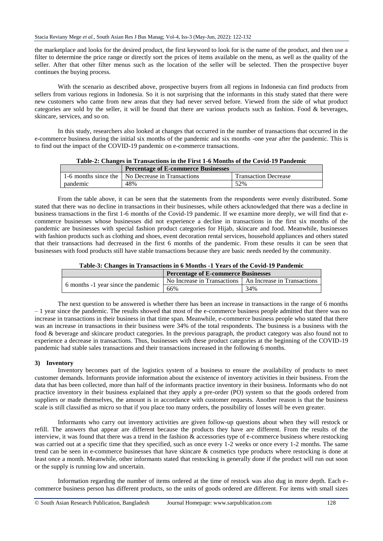the marketplace and looks for the desired product, the first keyword to look for is the name of the product, and then use a filter to determine the price range or directly sort the prices of items available on the menu, as well as the quality of the seller. After that other filter menus such as the location of the seller will be selected. Then the prospective buyer continues the buying process.

With the scenario as described above, prospective buyers from all regions in Indonesia can find products from sellers from various regions in Indonesia. So it is not surprising that the informants in this study stated that there were new customers who came from new areas that they had never served before. Viewed from the side of what product categories are sold by the seller, it will be found that there are various products such as fashion. Food & beverages, skincare, services, and so on.

In this study, researchers also looked at changes that occurred in the number of transactions that occurred in the e-commerce business during the initial six months of the pandemic and six months -one year after the pandemic. This is to find out the impact of the COVID-19 pandemic on e-commerce transactions.

| Table-2: Changes in Transactions in the First 1-6 Months of the Covid-19 Pandemic |                                                                 |                      |
|-----------------------------------------------------------------------------------|-----------------------------------------------------------------|----------------------|
|                                                                                   | <b>Percentage of E-commerce Businesses</b>                      |                      |
|                                                                                   | $\pm 1$ C months since the $\pm$ No Decreese in Trepresections. | Transaction Decrease |

|          | Telechtage of E-commerce Dusinesses                |                             |
|----------|----------------------------------------------------|-----------------------------|
|          | 1-6 months since the   No Decrease in Transactions | <b>Transaction Decrease</b> |
| pandemic | 48%                                                | 52%                         |

From the table above, it can be seen that the statements from the respondents were evenly distributed. Some stated that there was no decline in transactions in their businesses, while others acknowledged that there was a decline in business transactions in the first 1-6 months of the Covid-19 pandemic. If we examine more deeply, we will find that ecommerce businesses whose businesses did not experience a decline in transactions in the first six months of the pandemic are businesses with special fashion product categories for Hijab, skincare and food. Meanwhile, businesses with fashion products such as clothing and shoes, event decoration rental services, household appliances and others stated that their transactions had decreased in the first 6 months of the pandemic. From these results it can be seen that businesses with food products still have stable transactions because they are basic needs needed by the community.

| Table-5: Changes in Transactions in 6 Months -1 Tears of the Covid-19 Pandemic |                                                           |     |
|--------------------------------------------------------------------------------|-----------------------------------------------------------|-----|
|                                                                                | <b>Percentage of E-commerce Businesses</b>                |     |
|                                                                                | No Increase in Transactions   An Increase in Transactions |     |
| 6 months -1 year since the pandemic                                            | 66%                                                       | 34% |

**Table-3: Changes in Transactions in 6 Months -1 Years of the Covid-19 Pandemic**

The next question to be answered is whether there has been an increase in transactions in the range of 6 months – 1 year since the pandemic. The results showed that most of the e-commerce business people admitted that there was no increase in transactions in their business in that time span. Meanwhile, e-commerce business people who stated that there was an increase in transactions in their business were 34% of the total respondents. The business is a business with the food & beverage and skincare product categories. In the previous paragraph, the product category was also found not to experience a decrease in transactions. Thus, businesses with these product categories at the beginning of the COVID-19 pandemic had stable sales transactions and their transactions increased in the following 6 months.

#### **3) Inventory**

Inventory becomes part of the logistics system of a business to ensure the availability of products to meet customer demands. Informants provide information about the existence of inventory activities in their business. From the data that has been collected, more than half of the informants practice inventory in their business. Informants who do not practice inventory in their business explained that they apply a pre-order (PO) system so that the goods ordered from suppliers or made themselves, the amount is in accordance with customer requests. Another reason is that the business scale is still classified as micro so that if you place too many orders, the possibility of losses will be even greater.

Informants who carry out inventory activities are given follow-up questions about when they will restock or refill. The answers that appear are different because the products they have are different. From the results of the interview, it was found that there was a trend in the fashion & accessories type of e-commerce business where restocking was carried out at a specific time that they specified, such as once every 1-2 weeks or once every 1-2 months. The same trend can be seen in e-commerce businesses that have skincare & cosmetics type products where restocking is done at least once a month. Meanwhile, other informants stated that restocking is generally done if the product will run out soon or the supply is running low and uncertain.

Information regarding the number of items ordered at the time of restock was also dug in more depth. Each ecommerce business person has different products, so the units of goods ordered are different. For items with small sizes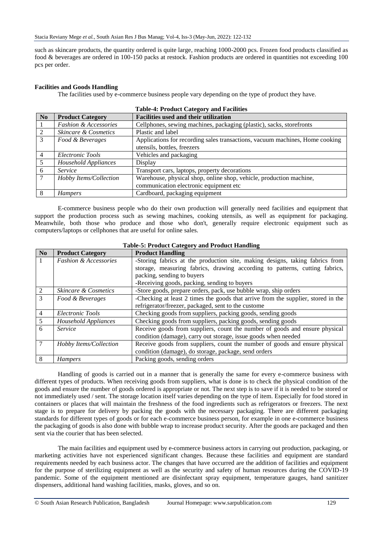such as skincare products, the quantity ordered is quite large, reaching 1000-2000 pcs. Frozen food products classified as food & beverages are ordered in 100-150 packs at restock. Fashion products are ordered in quantities not exceeding 100 pcs per order.

#### **Facilities and Goods Handling**

The facilities used by e-commerce business people vary depending on the type of product they have.

| No             | <b>Product Category</b>          | <b>Facilities used and their utilization</b>                                                                |
|----------------|----------------------------------|-------------------------------------------------------------------------------------------------------------|
|                | <b>Fashion &amp; Accessories</b> | Cellphones, sewing machines, packaging (plastic), sacks, storefronts                                        |
| 2              | <i>Skincare &amp; Cosmetics</i>  | Plastic and label                                                                                           |
| 3              | Food & Beverages                 | Applications for recording sales transactions, vacuum machines, Home cooking<br>utensils, bottles, freezers |
| $\overline{4}$ | Electronic Tools                 | Vehicles and packaging                                                                                      |
| 5              | Household Appliances             | Display                                                                                                     |
| 6              | Service                          | Transport cars, laptops, property decorations                                                               |
|                | Hobby Items/Collection           | Warehouse, physical shop, online shop, vehicle, production machine,                                         |
|                |                                  | communication electronic equipment etc                                                                      |
|                | <b>Hampers</b>                   | Cardboard, packaging equipment                                                                              |

# **Table-4: Product Category and Facilities**

E-commerce business people who do their own production will generally need facilities and equipment that support the production process such as sewing machines, cooking utensils, as well as equipment for packaging. Meanwhile, both those who produce and those who don't, generally require electronic equipment such as computers/laptops or cellphones that are useful for online sales.

|                             | Table-5, I rought Callgory and Frought Handmig |                                                                                   |  |
|-----------------------------|------------------------------------------------|-----------------------------------------------------------------------------------|--|
| No                          | <b>Product Category</b>                        | <b>Product Handling</b>                                                           |  |
| 1                           | <b>Fashion &amp; Accessories</b>               | -Storing fabrics at the production site, making designs, taking fabrics from      |  |
|                             |                                                | storage, measuring fabrics, drawing according to patterns, cutting fabrics,       |  |
|                             |                                                | packing, sending to buyers                                                        |  |
|                             |                                                | -Receiving goods, packing, sending to buyers                                      |  |
| $\mathcal{D}_{\mathcal{L}}$ | Skincare & Cosmetics                           | -Store goods, prepare orders, pack, use bubble wrap, ship orders                  |  |
| 3                           | Food & Beverages                               | -Checking at least 2 times the goods that arrive from the supplier, stored in the |  |
|                             |                                                | refrigerator/freezer, packaged, sent to the custome                               |  |
| 4                           | Electronic Tools                               | Checking goods from suppliers, packing goods, sending goods                       |  |
| 5                           | Household Appliances                           | Checking goods from suppliers, packing goods, sending goods                       |  |
| 6                           | Service                                        | Receive goods from suppliers, count the number of goods and ensure physical       |  |
|                             |                                                | condition (damage), carry out storage, issue goods when needed                    |  |
|                             | Hobby Items/Collection                         | Receive goods from suppliers, count the number of goods and ensure physical       |  |
|                             |                                                | condition (damage), do storage, package, send orders                              |  |
| 8                           | <b>Hampers</b>                                 | Packing goods, sending orders                                                     |  |

#### **Table-5: Product Category and Product Handling**

Handling of goods is carried out in a manner that is generally the same for every e-commerce business with different types of products. When receiving goods from suppliers, what is done is to check the physical condition of the goods and ensure the number of goods ordered is appropriate or not. The next step is to save if it is needed to be stored or not immediately used / sent. The storage location itself varies depending on the type of item. Especially for food stored in containers or places that will maintain the freshness of the food ingredients such as refrigerators or freezers. The next stage is to prepare for delivery by packing the goods with the necessary packaging. There are different packaging standards for different types of goods or for each e-commerce business person, for example in one e-commerce business the packaging of goods is also done with bubble wrap to increase product security. After the goods are packaged and then sent via the courier that has been selected.

The main facilities and equipment used by e-commerce business actors in carrying out production, packaging, or marketing activities have not experienced significant changes. Because these facilities and equipment are standard requirements needed by each business actor. The changes that have occurred are the addition of facilities and equipment for the purpose of sterilizing equipment as well as the security and safety of human resources during the COVID-19 pandemic. Some of the equipment mentioned are disinfectant spray equipment, temperature gauges, hand sanitizer dispensers, additional hand washing facilities, masks, gloves, and so on.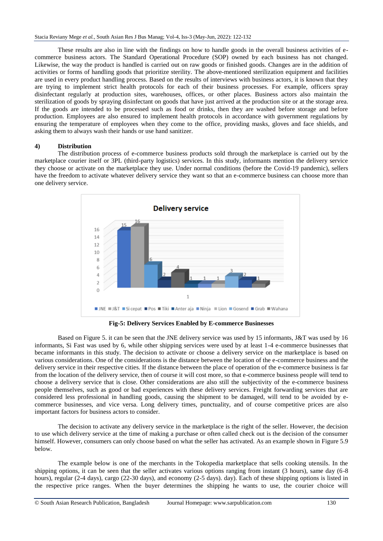These results are also in line with the findings on how to handle goods in the overall business activities of ecommerce business actors. The Standard Operational Procedure (SOP) owned by each business has not changed. Likewise, the way the product is handled is carried out on raw goods or finished goods. Changes are in the addition of activities or forms of handling goods that prioritize sterility. The above-mentioned sterilization equipment and facilities are used in every product handling process. Based on the results of interviews with business actors, it is known that they are trying to implement strict health protocols for each of their business processes. For example, officers spray disinfectant regularly at production sites, warehouses, offices, or other places. Business actors also maintain the sterilization of goods by spraying disinfectant on goods that have just arrived at the production site or at the storage area. If the goods are intended to be processed such as food or drinks, then they are washed before storage and before production. Employees are also ensured to implement health protocols in accordance with government regulations by ensuring the temperature of employees when they come to the office, providing masks, gloves and face shields, and asking them to always wash their hands or use hand sanitizer.

#### **4) Distribution**

The distribution process of e-commerce business products sold through the marketplace is carried out by the marketplace courier itself or 3PL (third-party logistics) services. In this study, informants mention the delivery service they choose or activate on the marketplace they use. Under normal conditions (before the Covid-19 pandemic), sellers have the freedom to activate whatever delivery service they want so that an e-commerce business can choose more than one delivery service.



**Fig-5: Delivery Services Enabled by E-commerce Businesses**

Based on Figure 5. it can be seen that the JNE delivery service was used by 15 informants, J&T was used by 16 informants, Si Fast was used by 6, while other shipping services were used by at least 1-4 e-commerce businesses that became informants in this study. The decision to activate or choose a delivery service on the marketplace is based on various considerations. One of the considerations is the distance between the location of the e-commerce business and the delivery service in their respective cities. If the distance between the place of operation of the e-commerce business is far from the location of the delivery service, then of course it will cost more, so that e-commerce business people will tend to choose a delivery service that is close. Other considerations are also still the subjectivity of the e-commerce business people themselves, such as good or bad experiences with these delivery services. Freight forwarding services that are considered less professional in handling goods, causing the shipment to be damaged, will tend to be avoided by ecommerce businesses, and vice versa. Long delivery times, punctuality, and of course competitive prices are also important factors for business actors to consider.

The decision to activate any delivery service in the marketplace is the right of the seller. However, the decision to use which delivery service at the time of making a purchase or often called check out is the decision of the consumer himself. However, consumers can only choose based on what the seller has activated. As an example shown in Figure 5.9 below.

The example below is one of the merchants in the Tokopedia marketplace that sells cooking utensils. In the shipping options, it can be seen that the seller activates various options ranging from instant (3 hours), same day (6-8 hours), regular (2-4 days), cargo (22-30 days), and economy (2-5 days). day). Each of these shipping options is listed in the respective price ranges. When the buyer determines the shipping he wants to use, the courier choice will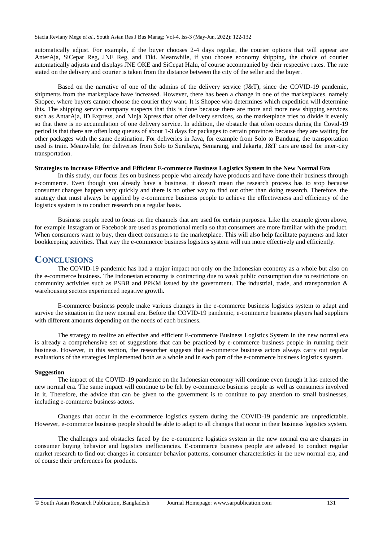automatically adjust. For example, if the buyer chooses 2-4 days regular, the courier options that will appear are AnterAja, SiCepat Reg, JNE Reg, and Tiki. Meanwhile, if you choose economy shipping, the choice of courier automatically adjusts and displays JNE OKE and SiCepat Halu, of course accompanied by their respective rates. The rate stated on the delivery and courier is taken from the distance between the city of the seller and the buyer.

Based on the narrative of one of the admins of the delivery service (J&T), since the COVID-19 pandemic, shipments from the marketplace have increased. However, there has been a change in one of the marketplaces, namely Shopee, where buyers cannot choose the courier they want. It is Shopee who determines which expedition will determine this. The shipping service company suspects that this is done because there are more and more new shipping services such as AntarAja, ID Express, and Ninja Xpress that offer delivery services, so the marketplace tries to divide it evenly so that there is no accumulation of one delivery service. In addition, the obstacle that often occurs during the Covid-19 period is that there are often long queues of about 1-3 days for packages to certain provinces because they are waiting for other packages with the same destination. For deliveries in Java, for example from Solo to Bandung, the transportation used is train. Meanwhile, for deliveries from Solo to Surabaya, Semarang, and Jakarta, J&T cars are used for inter-city transportation.

#### **Strategies to increase Effective and Efficient E-commerce Business Logistics System in the New Normal Era**

In this study, our focus lies on business people who already have products and have done their business through e-commerce. Even though you already have a business, it doesn't mean the research process has to stop because consumer changes happen very quickly and there is no other way to find out other than doing research. Therefore, the strategy that must always be applied by e-commerce business people to achieve the effectiveness and efficiency of the logistics system is to conduct research on a regular basis.

Business people need to focus on the channels that are used for certain purposes. Like the example given above, for example Instagram or Facebook are used as promotional media so that consumers are more familiar with the product. When consumers want to buy, then direct consumers to the marketplace. This will also help facilitate payments and later bookkeeping activities. That way the e-commerce business logistics system will run more effectively and efficiently.

# **CONCLUSIONS**

The COVID-19 pandemic has had a major impact not only on the Indonesian economy as a whole but also on the e-commerce business. The Indonesian economy is contracting due to weak public consumption due to restrictions on community activities such as PSBB and PPKM issued by the government. The industrial, trade, and transportation & warehousing sectors experienced negative growth.

E-commerce business people make various changes in the e-commerce business logistics system to adapt and survive the situation in the new normal era. Before the COVID-19 pandemic, e-commerce business players had suppliers with different amounts depending on the needs of each business.

The strategy to realize an effective and efficient E-commerce Business Logistics System in the new normal era is already a comprehensive set of suggestions that can be practiced by e-commerce business people in running their business. However, in this section, the researcher suggests that e-commerce business actors always carry out regular evaluations of the strategies implemented both as a whole and in each part of the e-commerce business logistics system.

#### **Suggestion**

The impact of the COVID-19 pandemic on the Indonesian economy will continue even though it has entered the new normal era. The same impact will continue to be felt by e-commerce business people as well as consumers involved in it. Therefore, the advice that can be given to the government is to continue to pay attention to small businesses, including e-commerce business actors.

Changes that occur in the e-commerce logistics system during the COVID-19 pandemic are unpredictable. However, e-commerce business people should be able to adapt to all changes that occur in their business logistics system.

The challenges and obstacles faced by the e-commerce logistics system in the new normal era are changes in consumer buying behavior and logistics inefficiencies. E-commerce business people are advised to conduct regular market research to find out changes in consumer behavior patterns, consumer characteristics in the new normal era, and of course their preferences for products.